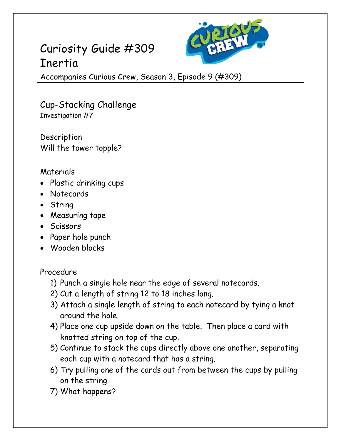# Curiosity Guide #309 Inertia



Accompanies Curious Crew, Season 3, Episode 9 (#309)

Cup-Stacking Challenge Investigation #7

**Description** Will the tower topple?

### Materials

- Plastic drinking cups
- Notecards
- String
- Measuring tape
- Scissors
- Paper hole punch
- Wooden blocks

#### Procedure

- 1) Punch a single hole near the edge of several notecards.
- 2) Cut a length of string 12 to 18 inches long.
- 3) Attach a single length of string to each notecard by tying a knot around the hole.
- 4) Place one cup upside down on the table. Then place a card with knotted string on top of the cup.
- 5) Continue to stack the cups directly above one another, separating each cup with a notecard that has a string.
- 6) Try pulling one of the cards out from between the cups by pulling on the string.
- 7) What happens?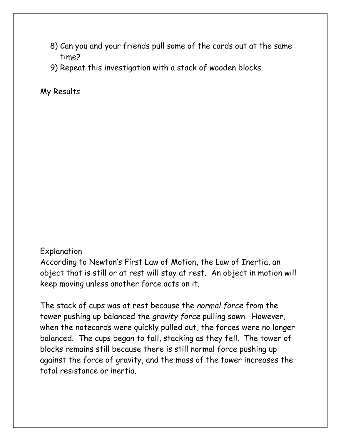- 8) Can you and your friends pull some of the cards out at the same time?
- 9) Repeat this investigation with a stack of wooden blocks.

My Results

#### Explanation

According to Newton's First Law of Motion, the Law of Inertia, an object that is still or at rest will stay at rest. An object in motion will keep moving unless another force acts on it.

The stack of cups was at rest because the *normal force* from the tower pushing up balanced the *gravity force* pulling sown. However, when the notecards were quickly pulled out, the forces were no longer balanced. The cups began to fall, stacking as they fell. The tower of blocks remains still because there is still normal force pushing up against the force of gravity, and the mass of the tower increases the total resistance or inertia.